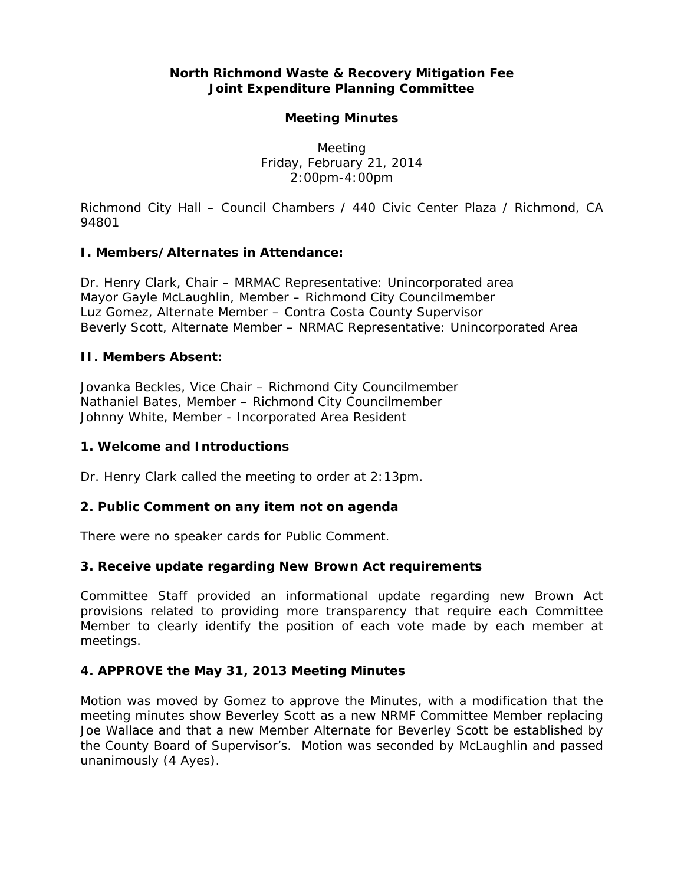## **North Richmond Waste & Recovery Mitigation Fee Joint Expenditure Planning Committee**

### **Meeting Minutes**

Meeting Friday, February 21, 2014 2:00pm-4:00pm

*Richmond City Hall – Council Chambers / 440 Civic Center Plaza / Richmond, CA 94801* 

### **I. Members/Alternates in Attendance:**

Dr. Henry Clark, Chair – MRMAC Representative: Unincorporated area Mayor Gayle McLaughlin, Member – Richmond City Councilmember Luz Gomez, Alternate Member – Contra Costa County Supervisor Beverly Scott, Alternate Member – NRMAC Representative: Unincorporated Area

#### **II. Members Absent:**

Jovanka Beckles, Vice Chair – Richmond City Councilmember Nathaniel Bates, Member – Richmond City Councilmember Johnny White, Member - Incorporated Area Resident

#### **1. Welcome and Introductions**

Dr. Henry Clark called the meeting to order at 2:13pm.

### **2. Public Comment on any item not on agenda**

There were no speaker cards for Public Comment.

### **3. Receive update regarding New Brown Act requirements**

Committee Staff provided an informational update regarding new Brown Act provisions related to providing more transparency that require each Committee Member to clearly identify the position of each vote made by each member at meetings.

### **4. APPROVE the May 31, 2013 Meeting Minutes**

*Motion was moved* by Gomez to approve the Minutes, with a modification that the meeting minutes show Beverley Scott as a new NRMF Committee Member replacing Joe Wallace and that a new Member Alternate for Beverley Scott be established by the County Board of Supervisor's. *Motion was seconded* by McLaughlin and *passed unanimously (4 Ayes).*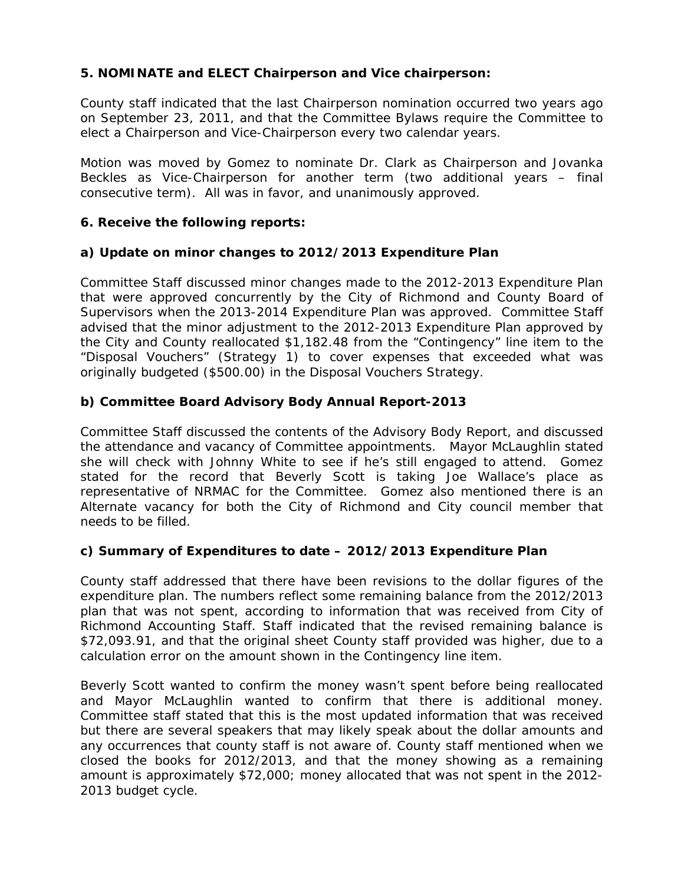# **5. NOMINATE and ELECT Chairperson and Vice chairperson:**

County staff indicated that the last Chairperson nomination occurred two years ago on September 23, 2011, and that the Committee Bylaws require the Committee to elect a Chairperson and Vice-Chairperson every two calendar years.

*Motion was moved* by Gomez to nominate Dr. Clark as Chairperson and Jovanka Beckles as Vice-Chairperson for another term (two additional years – final consecutive term). All was in favor, and *unanimously approved*.

## **6. Receive the following reports:**

## **a) Update on minor changes to 2012/2013 Expenditure Plan**

Committee Staff discussed minor changes made to the 2012-2013 Expenditure Plan that were approved concurrently by the City of Richmond and County Board of Supervisors when the 2013-2014 Expenditure Plan was approved. Committee Staff advised that the minor adjustment to the 2012-2013 Expenditure Plan approved by the City and County reallocated \$1,182.48 from the "Contingency" line item to the "Disposal Vouchers" (Strategy 1) to cover expenses that exceeded what was originally budgeted (\$500.00) in the Disposal Vouchers Strategy.

# **b) Committee Board Advisory Body Annual Report-2013**

Committee Staff discussed the contents of the Advisory Body Report, and discussed the attendance and vacancy of Committee appointments. Mayor McLaughlin stated she will check with Johnny White to see if he's still engaged to attend. Gomez stated for the record that Beverly Scott is taking Joe Wallace's place as representative of NRMAC for the Committee. Gomez also mentioned there is an Alternate vacancy for both the City of Richmond and City council member that needs to be filled.

# **c) Summary of Expenditures to date – 2012/2013 Expenditure Plan**

County staff addressed that there have been revisions to the dollar figures of the expenditure plan. The numbers reflect some remaining balance from the 2012/2013 plan that was not spent, according to information that was received from City of Richmond Accounting Staff. Staff indicated that the revised remaining balance is \$72,093.91, and that the original sheet County staff provided was higher, due to a calculation error on the amount shown in the Contingency line item.

Beverly Scott wanted to confirm the money wasn't spent before being reallocated and Mayor McLaughlin wanted to confirm that there is additional money. Committee staff stated that this is the most updated information that was received but there are several speakers that may likely speak about the dollar amounts and any occurrences that county staff is not aware of. County staff mentioned when we closed the books for 2012/2013, and that the money showing as a remaining amount is approximately \$72,000; money allocated that was not spent in the 2012- 2013 budget cycle.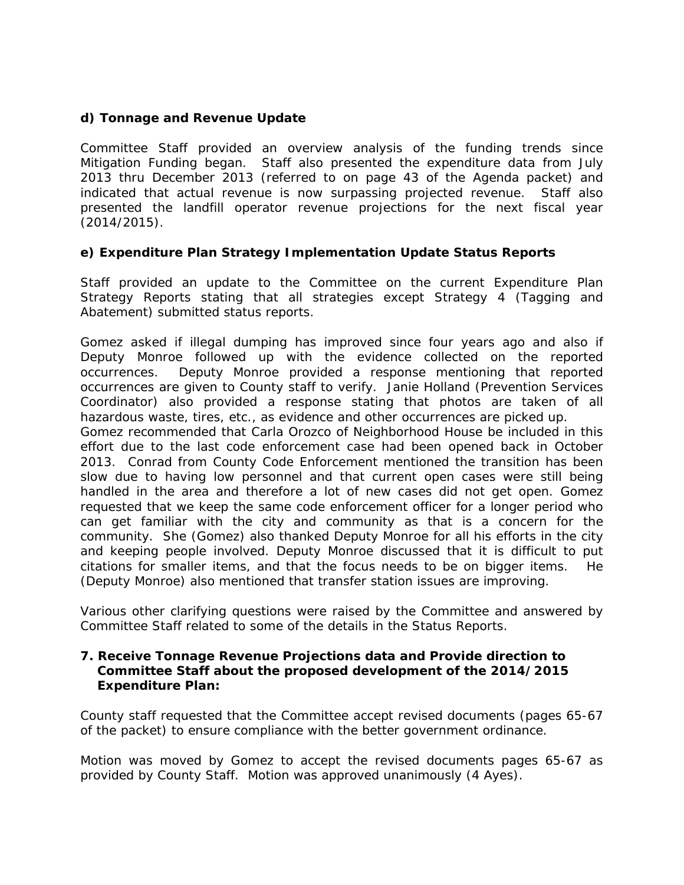### **d) Tonnage and Revenue Update**

Committee Staff provided an overview analysis of the funding trends since Mitigation Funding began. Staff also presented the expenditure data from July 2013 thru December 2013 (referred to on page 43 of the Agenda packet) and indicated that actual revenue is now surpassing projected revenue. Staff also presented the landfill operator revenue projections for the next fiscal year (2014/2015).

## **e) Expenditure Plan Strategy Implementation Update Status Reports**

Staff provided an update to the Committee on the current Expenditure Plan Strategy Reports stating that all strategies except Strategy 4 (Tagging and Abatement) submitted status reports.

Gomez asked if illegal dumping has improved since four years ago and also if Deputy Monroe followed up with the evidence collected on the reported occurrences. Deputy Monroe provided a response mentioning that reported occurrences are given to County staff to verify. Janie Holland (Prevention Services Coordinator) also provided a response stating that photos are taken of all hazardous waste, tires, etc., as evidence and other occurrences are picked up.

Gomez recommended that Carla Orozco of Neighborhood House be included in this effort due to the last code enforcement case had been opened back in October 2013. Conrad from County Code Enforcement mentioned the transition has been slow due to having low personnel and that current open cases were still being handled in the area and therefore a lot of new cases did not get open. Gomez requested that we keep the same code enforcement officer for a longer period who can get familiar with the city and community as that is a concern for the community. She (Gomez) also thanked Deputy Monroe for all his efforts in the city and keeping people involved. Deputy Monroe discussed that it is difficult to put citations for smaller items, and that the focus needs to be on bigger items. He (Deputy Monroe) also mentioned that transfer station issues are improving.

Various other clarifying questions were raised by the Committee and answered by Committee Staff related to some of the details in the Status Reports.

#### **7. Receive Tonnage Revenue Projections data and Provide direction to Committee Staff about the proposed development of the 2014/2015 Expenditure Plan:**

County staff requested that the Committee accept revised documents (pages 65-67 of the packet) to ensure compliance with the better government ordinance.

*Motion was moved by Gomez* to accept the revised documents pages 65-67 as provided by County Staff. *Motion was approved unanimously (4 Ayes).*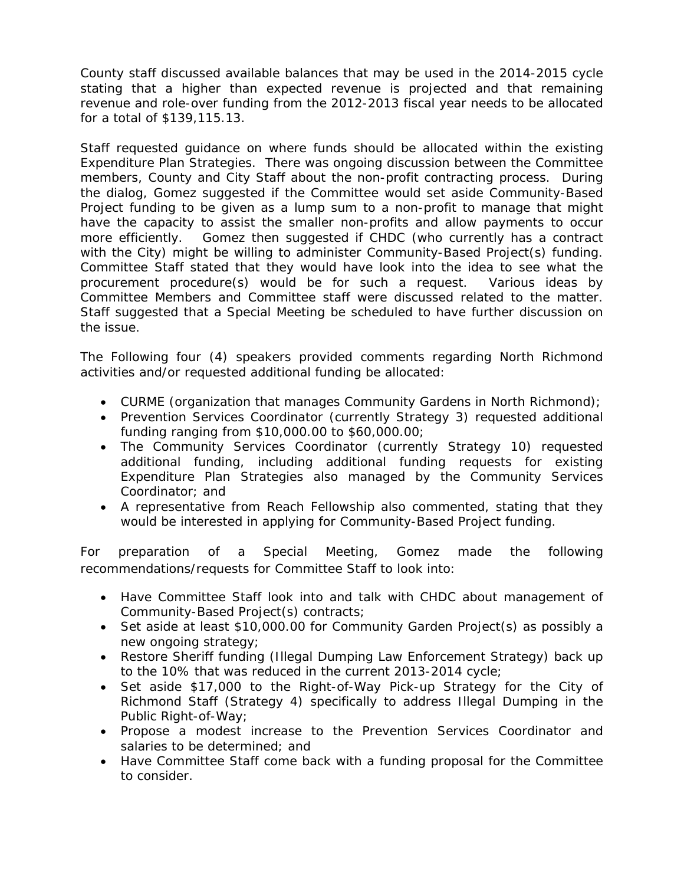County staff discussed available balances that may be used in the 2014-2015 cycle stating that a higher than expected revenue is projected and that remaining revenue and role-over funding from the 2012-2013 fiscal year needs to be allocated for a total of \$139,115.13.

Staff requested guidance on where funds should be allocated within the existing Expenditure Plan Strategies. There was ongoing discussion between the Committee members, County and City Staff about the non-profit contracting process. During the dialog, Gomez suggested if the Committee would set aside Community-Based Project funding to be given as a lump sum to a non-profit to manage that might have the capacity to assist the smaller non-profits and allow payments to occur more efficiently. Gomez then suggested if CHDC (who currently has a contract with the City) might be willing to administer Community-Based Project(s) funding. Committee Staff stated that they would have look into the idea to see what the procurement procedure(s) would be for such a request. Various ideas by Committee Members and Committee staff were discussed related to the matter. Staff suggested that a Special Meeting be scheduled to have further discussion on the issue.

The Following four (4) speakers provided comments regarding North Richmond activities and/or requested additional funding be allocated:

- CURME (organization that manages Community Gardens in North Richmond);
- Prevention Services Coordinator (currently Strategy 3) requested additional funding ranging from \$10,000.00 to \$60,000.00;
- The Community Services Coordinator (currently Strategy 10) requested additional funding, including additional funding requests for existing Expenditure Plan Strategies also managed by the Community Services Coordinator; and
- A representative from Reach Fellowship also commented, stating that they would be interested in applying for Community-Based Project funding.

For preparation of a Special Meeting, Gomez made the following recommendations/requests for Committee Staff to look into:

- Have Committee Staff look into and talk with CHDC about management of Community-Based Project(s) contracts;
- Set aside at least \$10,000.00 for Community Garden Project(s) as possibly a new ongoing strategy;
- Restore Sheriff funding (Illegal Dumping Law Enforcement Strategy) back up to the 10% that was reduced in the current 2013-2014 cycle;
- Set aside \$17,000 to the Right-of-Way Pick-up Strategy for the City of Richmond Staff (Strategy 4) specifically to address Illegal Dumping in the Public Right-of-Way;
- Propose a modest increase to the Prevention Services Coordinator and salaries to be determined; and
- Have Committee Staff come back with a funding proposal for the Committee to consider.